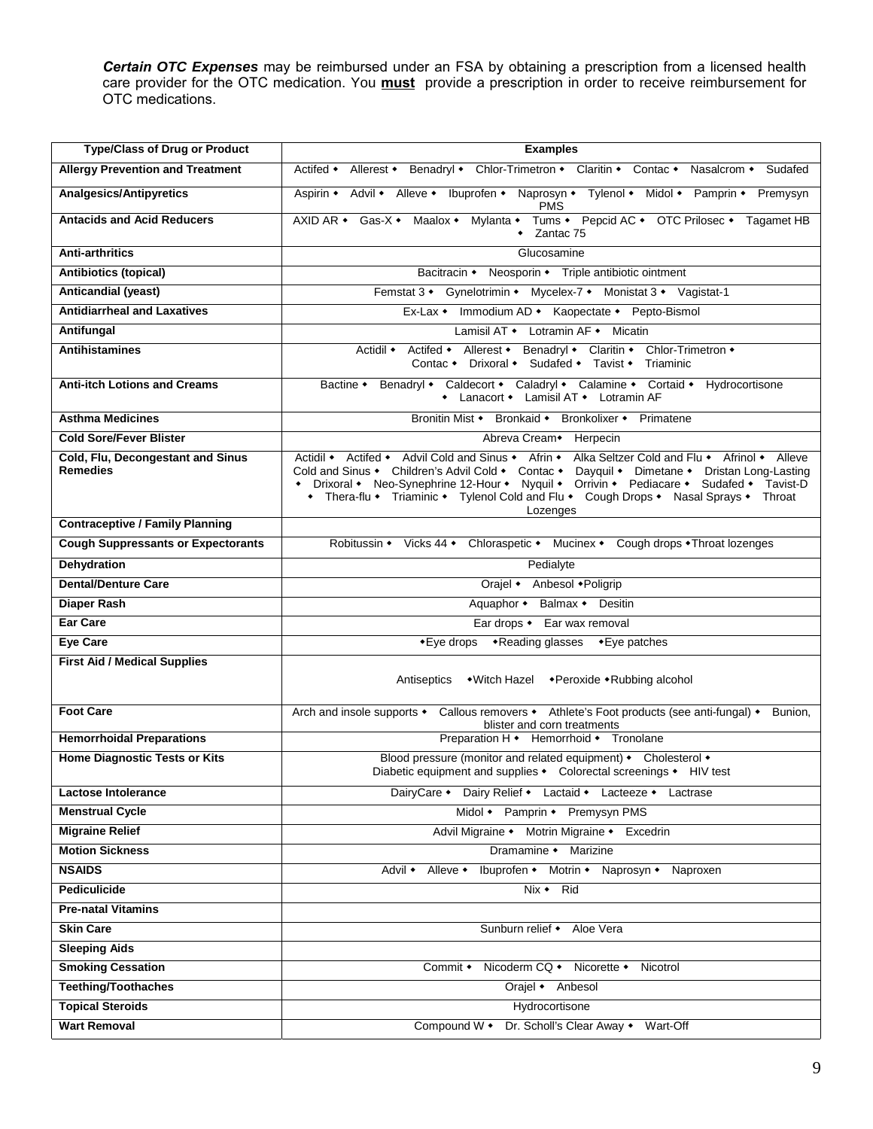**Certain OTC Expenses** may be reimbursed under an FSA by obtaining a prescription from a licensed health care provider for the OTC medication. You **must** provide a prescription in order to receive reimbursement for OTC medications.

| <b>Type/Class of Drug or Product</b>                 | <b>Examples</b>                                                                                                                                                                                                                                                                                                                                                                               |  |  |
|------------------------------------------------------|-----------------------------------------------------------------------------------------------------------------------------------------------------------------------------------------------------------------------------------------------------------------------------------------------------------------------------------------------------------------------------------------------|--|--|
| <b>Allergy Prevention and Treatment</b>              | Actifed • Allerest • Benadryl • Chlor-Trimetron • Claritin • Contac • Nasalcrom • Sudafed                                                                                                                                                                                                                                                                                                     |  |  |
| <b>Analgesics/Antipyretics</b>                       | Aspirin • Advil • Alleve • Ibuprofen • Naprosyn • Tylenol • Midol • Pamprin • Premysyn<br><b>PMS</b>                                                                                                                                                                                                                                                                                          |  |  |
| <b>Antacids and Acid Reducers</b>                    | AXID AR • Gas-X • Maalox • Mylanta • Tums • Pepcid AC • OTC Prilosec • Tagamet HB<br>$\bullet$ Zantac 75                                                                                                                                                                                                                                                                                      |  |  |
| <b>Anti-arthritics</b>                               | Glucosamine                                                                                                                                                                                                                                                                                                                                                                                   |  |  |
| <b>Antibiotics (topical)</b>                         | Bacitracin • Neosporin • Triple antibiotic ointment                                                                                                                                                                                                                                                                                                                                           |  |  |
| <b>Anticandial (yeast)</b>                           | Femstat 3 • Gynelotrimin • Mycelex-7 • Monistat 3 • Vagistat-1                                                                                                                                                                                                                                                                                                                                |  |  |
| <b>Antidiarrheal and Laxatives</b>                   | Ex-Lax • Immodium AD • Kaopectate • Pepto-Bismol                                                                                                                                                                                                                                                                                                                                              |  |  |
| Antifungal                                           | Lamisil AT • Lotramin AF • Micatin                                                                                                                                                                                                                                                                                                                                                            |  |  |
| <b>Antihistamines</b>                                | Actidil • Actifed • Allerest • Benadryl • Claritin • Chlor-Trimetron •<br>Contac • Drixoral • Sudafed • Tavist • Triaminic                                                                                                                                                                                                                                                                    |  |  |
| <b>Anti-itch Lotions and Creams</b>                  | Bactine • Benadryl • Caldecort • Caladryl • Calamine • Cortaid • Hydrocortisone<br>• Lanacort • Lamisil AT • Lotramin AF                                                                                                                                                                                                                                                                      |  |  |
| <b>Asthma Medicines</b>                              | Bronitin Mist • Bronkaid • Bronkolixer • Primatene                                                                                                                                                                                                                                                                                                                                            |  |  |
| <b>Cold Sore/Fever Blister</b>                       | Abreva Cream + Herpecin                                                                                                                                                                                                                                                                                                                                                                       |  |  |
| Cold, Flu, Decongestant and Sinus<br><b>Remedies</b> | Actidil • Actifed • Advil Cold and Sinus • Afrin • Alka Seltzer Cold and Flu • Afrinol • Alleve<br>Cold and Sinus • Children's Advil Cold • Contac • Dayquil • Dimetane • Dristan Long-Lasting<br>• Drixoral • Neo-Synephrine 12-Hour • Nyquil • Orrivin • Pediacare • Sudafed • Tavist-D<br>• Thera-flu • Triaminic • Tylenol Cold and Flu • Cough Drops • Nasal Sprays • Throat<br>Lozenges |  |  |
| <b>Contraceptive / Family Planning</b>               |                                                                                                                                                                                                                                                                                                                                                                                               |  |  |
| <b>Cough Suppressants or Expectorants</b>            | Robitussin • Vicks 44 • Chloraspetic • Mucinex • Cough drops • Throat lozenges                                                                                                                                                                                                                                                                                                                |  |  |
| <b>Dehydration</b>                                   | Pedialyte                                                                                                                                                                                                                                                                                                                                                                                     |  |  |
| <b>Dental/Denture Care</b>                           | Orajel • Anbesol • Poligrip                                                                                                                                                                                                                                                                                                                                                                   |  |  |
| <b>Diaper Rash</b>                                   | Aquaphor • Balmax • Desitin                                                                                                                                                                                                                                                                                                                                                                   |  |  |
| Ear Care                                             | Ear drops • Ear wax removal                                                                                                                                                                                                                                                                                                                                                                   |  |  |
| <b>Eye Care</b>                                      | *Eye drops *Reading glasses *Eye patches                                                                                                                                                                                                                                                                                                                                                      |  |  |
| <b>First Aid / Medical Supplies</b>                  | Antiseptics • Witch Hazel • Peroxide • Rubbing alcohol                                                                                                                                                                                                                                                                                                                                        |  |  |
| <b>Foot Care</b>                                     | Arch and insole supports • Callous removers • Athlete's Foot products (see anti-fungal) • Bunion,<br>blister and corn treatments                                                                                                                                                                                                                                                              |  |  |
| <b>Hemorrhoidal Preparations</b>                     | Preparation H • Hemorrhoid • Tronolane                                                                                                                                                                                                                                                                                                                                                        |  |  |
| <b>Home Diagnostic Tests or Kits</b>                 | Blood pressure (monitor and related equipment) • Cholesterol •<br>Diabetic equipment and supplies • Colorectal screenings • HIV test                                                                                                                                                                                                                                                          |  |  |
| <b>Lactose Intolerance</b>                           | DairyCare • Dairy Relief • Lactaid • Lacteeze • Lactrase                                                                                                                                                                                                                                                                                                                                      |  |  |
| <b>Menstrual Cycle</b>                               | Midol • Pamprin • Premysyn PMS                                                                                                                                                                                                                                                                                                                                                                |  |  |
| <b>Migraine Relief</b>                               | Advil Migraine • Motrin Migraine • Excedrin                                                                                                                                                                                                                                                                                                                                                   |  |  |
| <b>Motion Sickness</b>                               | Dramamine • Marizine                                                                                                                                                                                                                                                                                                                                                                          |  |  |
| <b>NSAIDS</b>                                        | Ibuprofen • Motrin • Naprosyn • Naproxen<br>Advil ◆<br>Alleve ◆                                                                                                                                                                                                                                                                                                                               |  |  |
| <b>Pediculicide</b>                                  | Nix • Rid                                                                                                                                                                                                                                                                                                                                                                                     |  |  |
| <b>Pre-natal Vitamins</b>                            |                                                                                                                                                                                                                                                                                                                                                                                               |  |  |
| <b>Skin Care</b>                                     | Sunburn relief • Aloe Vera                                                                                                                                                                                                                                                                                                                                                                    |  |  |
| <b>Sleeping Aids</b>                                 |                                                                                                                                                                                                                                                                                                                                                                                               |  |  |
| <b>Smoking Cessation</b>                             | Commit • Nicoderm CQ • Nicorette • Nicotrol                                                                                                                                                                                                                                                                                                                                                   |  |  |
| <b>Teething/Toothaches</b>                           | Orajel • Anbesol                                                                                                                                                                                                                                                                                                                                                                              |  |  |
| <b>Topical Steroids</b>                              | Hydrocortisone                                                                                                                                                                                                                                                                                                                                                                                |  |  |
| <b>Wart Removal</b>                                  | Compound W • Dr. Scholl's Clear Away • Wart-Off                                                                                                                                                                                                                                                                                                                                               |  |  |